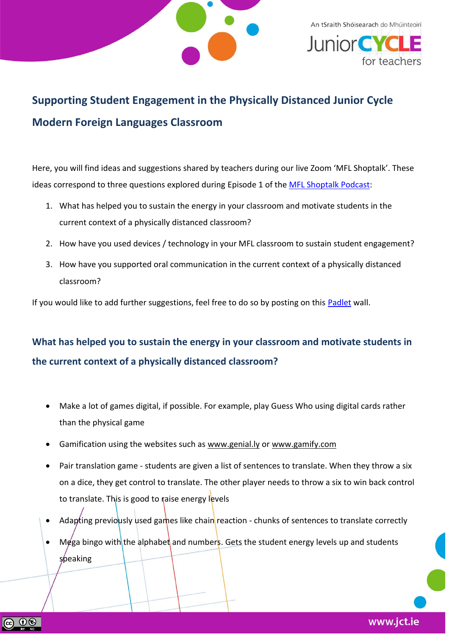

An tSraith Shóisearach do Mhúinteoirí *<u>Junior</u>* 

## **Supporting Student Engagement in the Physically Distanced Junior Cycle Modern Foreign Languages Classroom**

Here, you will find ideas and suggestions shared by teachers during our live Zoom 'MFL Shoptalk'. These ideas correspond to three questions explored during Episode 1 of the [MFL Shoptalk Podcast:](https://soundcloud.com/user-65250337/mfl-shoptalk-episode-1?in=user-65250337/sets/mfl-shoptalk)

- 1. What has helped you to sustain the energy in your classroom and motivate students in the current context of a physically distanced classroom?
- 2. How have you used devices / technology in your MFL classroom to sustain student engagement?
- 3. How have you supported oral communication in the current context of a physically distanced classroom?

If you would like to add further suggestions, feel free to do so by posting on this [Padlet](https://padlet.com/jct2/3mu5mfjm7bllnyz) wall.

## **What has helped you to sustain the energy in your classroom and motivate students in the current context of a physically distanced classroom?**

- Make a lot of games digital, if possible. For example, play Guess Who using digital cards rather than the physical game
- Gamification using the websites such as [www.genial.ly](http://www.genial.ly/) or [www.gamify.com](http://www.gamify.com/)
- Pair translation game students are given a list of sentences to translate. When they throw a six on a dice, they get control to translate. The other player needs to throw a six to win back control to translate. This is good to raise energy levels
- Adapting previously used games like chain reaction chunks of sentences to translate correctly
- Mega bingo with the alphabet and numbers. Gets the student energy levels up and students speaking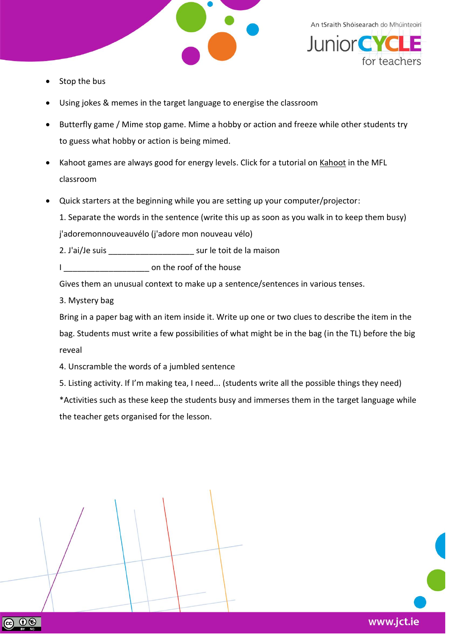

An tSraith Shóisearach do Mhúinteoirí **JuniorCYC** 

www.jct.ie

- Stop the bus
- Using jokes & memes in the target language to energise the classroom
- Butterfly game / Mime stop game. Mime a hobby or action and freeze while other students try to guess what hobby or action is being mimed.
- Kahoot games are always good for energy levels. Click for a tutorial on [Kahoot](https://docs.google.com/presentation/d/1sW4Ej86Wx8ka-Vbqcy0F-DmkkxzEDKEYV_zQk_7P4kc/edit#slide=id.p1) in the MFL classroom
- Quick starters at the beginning while you are setting up your computer/projector:
	- 1. Separate the words in the sentence (write this up as soon as you walk in to keep them busy)

j'adoremonnouveauvélo (j'adore mon nouveau vélo)

2. J'ai/Je suis \_\_\_\_\_\_\_\_\_\_\_\_\_\_\_\_\_\_\_ sur le toit de la maison

I can be reset on the roof of the house

Gives them an unusual context to make up a sentence/sentences in various tenses.

3. Mystery bag

Bring in a paper bag with an item inside it. Write up one or two clues to describe the item in the bag. Students must write a few possibilities of what might be in the bag (in the TL) before the big reveal

4. Unscramble the words of a jumbled sentence

5. Listing activity. If I'm making tea, I need... (students write all the possible things they need)

\*Activities such as these keep the students busy and immerses them in the target language while the teacher gets organised for the lesson.

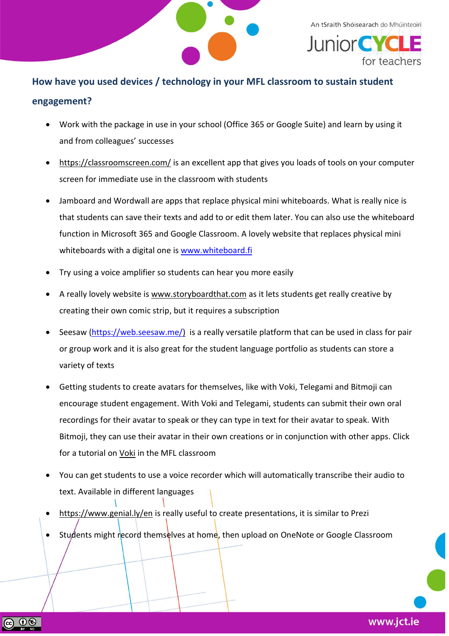

An tSraith Shóisearach do Mhúinteoirí **JuniorC** 

## **How have you used devices / technology in your MFL classroom to sustain student engagement?**

- Work with the package in use in your school (Office 365 or Google Suite) and learn by using it and from colleagues' successes
- <https://classroomscreen.com/> is an excellent app that gives you loads of tools on your computer screen for immediate use in the classroom with students
- Jamboard and Wordwall are apps that replace physical mini whiteboards. What is really nice is that students can save their texts and add to or edit them later. You can also use the whiteboard function in Microsoft 365 and Google Classroom. A lovely website that replaces physical mini whiteboards with a digital one is [www.whiteboard.fi](http://www.whiteboard.fi/)
- Try using a voice amplifier so students can hear you more easily
- A really lovely website is [www.storyboardthat.com](http://www.storyboardthat.com/) as it lets students get really creative by creating their own comic strip, but it requires a subscription
- Seesaw [\(https://web.seesaw.me/\)](https://web.seesaw.me/) is a really versatile platform that can be used in class for pair or group work and it is also great for the student language portfolio as students can store a variety of texts
- Getting students to create avatars for themselves, like with Voki, Telegami and Bitmoji can encourage student engagement. With Voki and Telegami, students can submit their own oral recordings for their avatar to speak or they can type in text for their avatar to speak. With Bitmoji, they can use their avatar in their own creations or in conjunction with other apps. Click for a tutorial on [Voki](https://docs.google.com/presentation/d/1c1j-tgToq6uCMm_8V6WA8fDJJMbvmrx77QnL8IU-eN0/edit) in the MFL classroom
- You can get students to use a voice recorder which will automatically transcribe their audio to text. Available in different languages
- <https://www.genial.ly/en> is really useful to create presentations, it is similar to Prezi
- Students might record themselves at home, then upload on OneNote or Google Classroom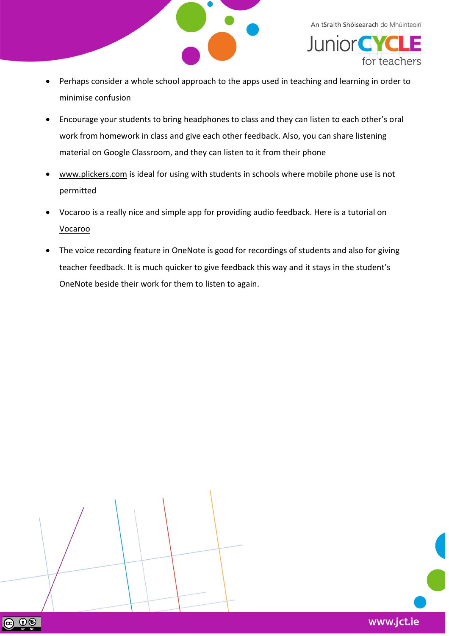

An tSraith Shóisearach do Mhúinteoirí **JuniorCY** for teachers

- Perhaps consider a whole school approach to the apps used in teaching and learning in order to minimise confusion
- Encourage your students to bring headphones to class and they can listen to each other's oral work from homework in class and give each other feedback. Also, you can share listening material on Google Classroom, and they can listen to it from their phone
- [www.plickers.com](http://www.plickers.com/) is ideal for using with students in schools where mobile phone use is not permitted
- Vocaroo is a really nice and simple app for providing audio feedback. Here is a tutorial on [Vocaroo](https://youtu.be/1yHtLdV2rNg)
- The voice recording feature in OneNote is good for recordings of students and also for giving teacher feedback. It is much quicker to give feedback this way and it stays in the student's OneNote beside their work for them to listen to again.